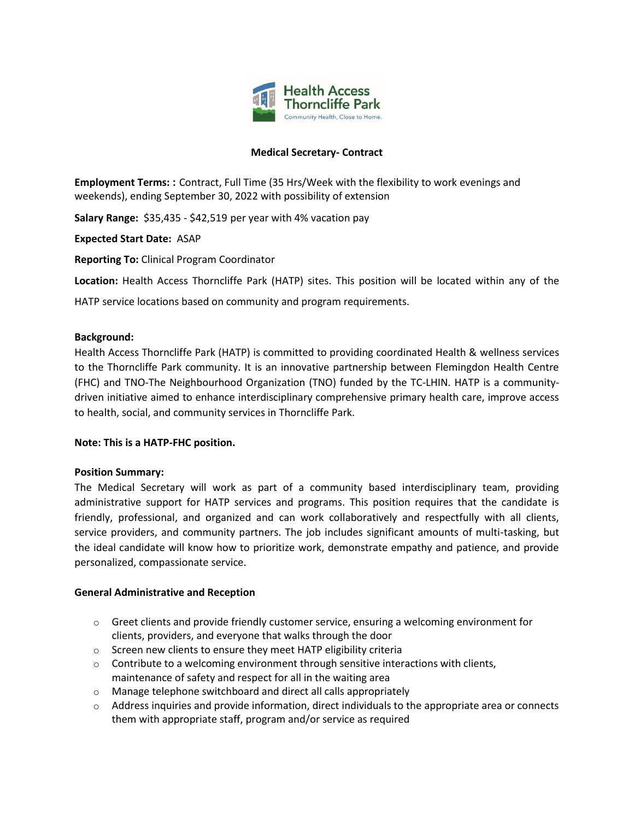

## **Medical Secretary- Contract**

**Employment Terms: :** Contract, Full Time (35 Hrs/Week with the flexibility to work evenings and weekends), ending September 30, 2022 with possibility of extension

**Salary Range:** \$35,435 - \$42,519 per year with 4% vacation pay

**Expected Start Date:** ASAP

**Reporting To:** Clinical Program Coordinator

**Location:** Health Access Thorncliffe Park (HATP) sites. This position will be located within any of the

HATP service locations based on community and program requirements.

## **Background:**

Health Access Thorncliffe Park (HATP) is committed to providing coordinated Health & wellness services to the Thorncliffe Park community. It is an innovative partnership between Flemingdon Health Centre (FHC) and TNO-The Neighbourhood Organization (TNO) funded by the TC-LHIN. HATP is a communitydriven initiative aimed to enhance interdisciplinary comprehensive primary health care, improve access to health, social, and community services in Thorncliffe Park.

## **Note: This is a HATP-FHC position.**

## **Position Summary:**

The Medical Secretary will work as part of a community based interdisciplinary team, providing administrative support for HATP services and programs. This position requires that the candidate is friendly, professional, and organized and can work collaboratively and respectfully with all clients, service providers, and community partners. The job includes significant amounts of multi-tasking, but the ideal candidate will know how to prioritize work, demonstrate empathy and patience, and provide personalized, compassionate service.

## **General Administrative and Reception**

- $\circ$  Greet clients and provide friendly customer service, ensuring a welcoming environment for clients, providers, and everyone that walks through the door
- o Screen new clients to ensure they meet HATP eligibility criteria
- $\circ$  Contribute to a welcoming environment through sensitive interactions with clients, maintenance of safety and respect for all in the waiting area
- o Manage telephone switchboard and direct all calls appropriately
- o Address inquiries and provide information, direct individuals to the appropriate area or connects them with appropriate staff, program and/or service as required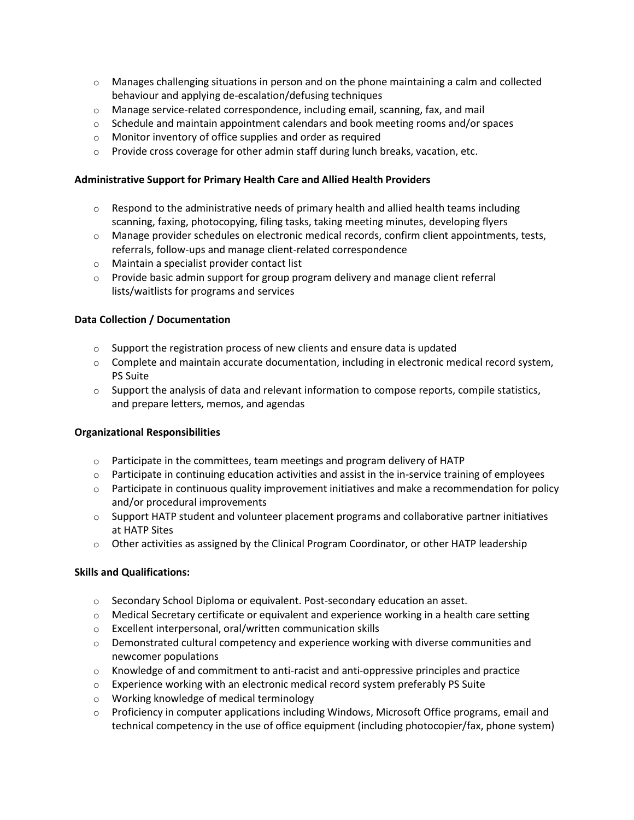- $\circ$  Manages challenging situations in person and on the phone maintaining a calm and collected behaviour and applying de-escalation/defusing techniques
- $\circ$  Manage service-related correspondence, including email, scanning, fax, and mail
- $\circ$  Schedule and maintain appointment calendars and book meeting rooms and/or spaces
- o Monitor inventory of office supplies and order as required
- o Provide cross coverage for other admin staff during lunch breaks, vacation, etc.

### **Administrative Support for Primary Health Care and Allied Health Providers**

- $\circ$  Respond to the administrative needs of primary health and allied health teams including scanning, faxing, photocopying, filing tasks, taking meeting minutes, developing flyers
- $\circ$  Manage provider schedules on electronic medical records, confirm client appointments, tests, referrals, follow-ups and manage client-related correspondence
- o Maintain a specialist provider contact list
- $\circ$  Provide basic admin support for group program delivery and manage client referral lists/waitlists for programs and services

#### **Data Collection / Documentation**

- $\circ$  Support the registration process of new clients and ensure data is updated
- $\circ$  Complete and maintain accurate documentation, including in electronic medical record system, PS Suite
- $\circ$  Support the analysis of data and relevant information to compose reports, compile statistics, and prepare letters, memos, and agendas

#### **Organizational Responsibilities**

- o Participate in the committees, team meetings and program delivery of HATP
- $\circ$  Participate in continuing education activities and assist in the in-service training of employees
- $\circ$  Participate in continuous quality improvement initiatives and make a recommendation for policy and/or procedural improvements
- $\circ$  Support HATP student and volunteer placement programs and collaborative partner initiatives at HATP Sites
- $\circ$  Other activities as assigned by the Clinical Program Coordinator, or other HATP leadership

## **Skills and Qualifications:**

- $\circ$  Secondary School Diploma or equivalent. Post-secondary education an asset.
- $\circ$  Medical Secretary certificate or equivalent and experience working in a health care setting
- o Excellent interpersonal, oral/written communication skills
- $\circ$  Demonstrated cultural competency and experience working with diverse communities and newcomer populations
- $\circ$  Knowledge of and commitment to anti-racist and anti-oppressive principles and practice
- $\circ$  Experience working with an electronic medical record system preferably PS Suite
- o Working knowledge of medical terminology
- o Proficiency in computer applications including Windows, Microsoft Office programs, email and technical competency in the use of office equipment (including photocopier/fax, phone system)